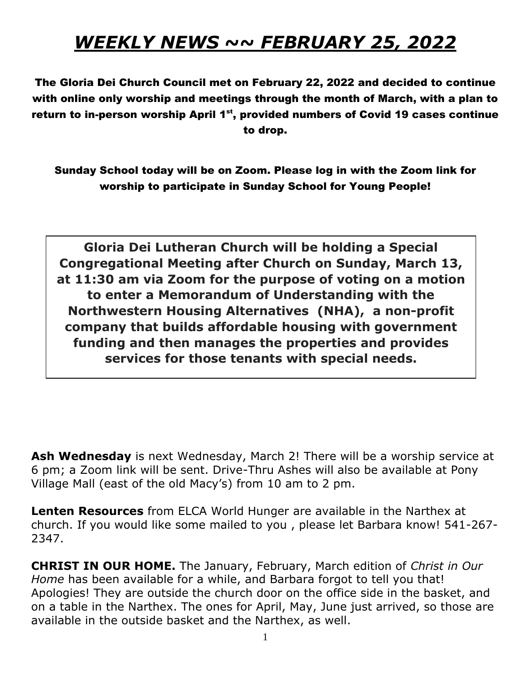## *WEEKLY NEWS ~~ FEBRUARY 25, 2022*

The Gloria Dei Church Council met on February 22, 2022 and decided to continue with online only worship and meetings through the month of March, with a plan to return to in-person worship April  $1^{st}$ , provided numbers of Covid 19 cases continue to drop.

Sunday School today will be on Zoom. Please log in with the Zoom link for worship to participate in Sunday School for Young People!

**Gloria Dei Lutheran Church will be holding a Special Congregational Meeting after Church on Sunday, March 13, at 11:30 am via Zoom for the purpose of voting on a motion to enter a Memorandum of Understanding with the Northwestern Housing Alternatives (NHA), a non-profit company that builds affordable housing with government funding and then manages the properties and provides services for those tenants with special needs.**

**Ash Wednesday** is next Wednesday, March 2! There will be a worship service at 6 pm; a Zoom link will be sent. Drive-Thru Ashes will also be available at Pony Village Mall (east of the old Macy's) from 10 am to 2 pm.

**Lenten Resources** from ELCA World Hunger are available in the Narthex at church. If you would like some mailed to you , please let Barbara know! 541-267- 2347.

**CHRIST IN OUR HOME.** The January, February, March edition of *Christ in Our Home* has been available for a while, and Barbara forgot to tell you that! Apologies! They are outside the church door on the office side in the basket, and on a table in the Narthex. The ones for April, May, June just arrived, so those are available in the outside basket and the Narthex, as well.